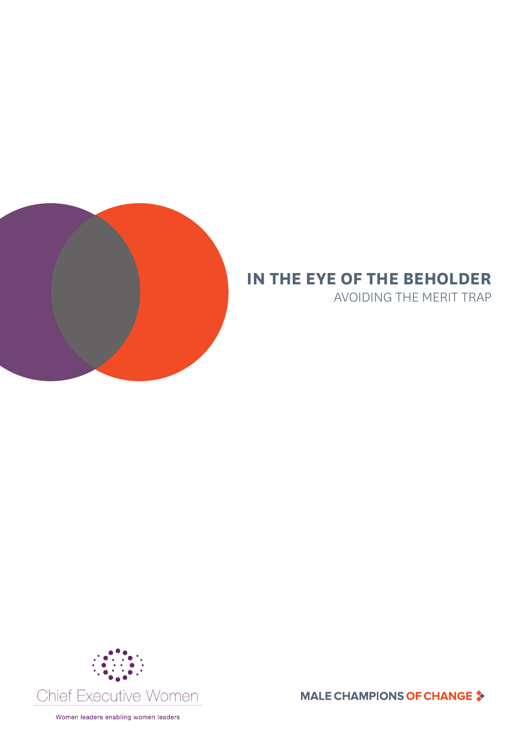

# **IN THE EYE OF THE BEHOLDER**

AVOIDING THE MERIT TRAP



**MALE CHAMPIONS OF CHANGE ≯**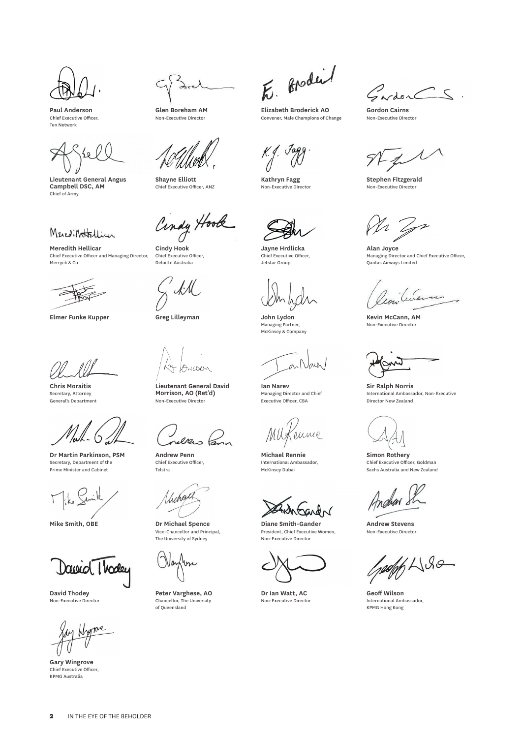**Paul Anderson** Chief Executive Officer, Ten Network

**Lieutenant General Angus Campbell DSC, AM** Chief of Army

Mered: Nottellian

**Meredith Hellicar** Chief Executive Officer and Managing Director, Merryck & Co

**Elmer Funke Kupper Greg Lilleyman John Lydon**

**Chris Moraitis** Secretary, Attorney General's Department

**Dr Martin Parkinson, PSM** Secretary, Department of the Prime Minister and Cabinet

Dawid Thoda

**David Thodey** Non-Executive Director

move

**Gary Wingrove** Chief Executive Officer, KPMG Australia

**Glen Boreham AM** Non-Executive Director

**Shayne Elliott** Chief Executive Officer, ANZ

Cindy Hook

**Cindy Hook** Chief Executive Officer, Deloitte Australia

Anwar

**Lieutenant General David Morrison, AO (Ret'd)** Non-Executive Director

en

**Andrew Penn** Chief Executive Officer, Telstra

Unchalt

**Mike Smith, OBE Dr Michael Spence** Vice-Chancellor and Principal, The University of Sydney

**Peter Varghese, AO** Chancellor, The University of Queensland

E. Brodei

**Elizabeth Broderick AO** Convener, Male Champions of Change

 $K.f.$  Jagg

**Kathryn Fagg** Non-Executive Director

**Jayne Hrdlicka** Chief Executive Officer, Jetstar Group

Managing Partner, McKinsey & Company

**Ian Narev** Managing Director and Chief Executive Officer, CBA

MUg enne

**Michael Rennie** International Ambassador, McKinsey Dubai

**Diane Smith-Gander** President, Chief Executive Women, Non-Executive Director

**Dr Ian Watt, AC** Non-Executive Director

Gardon CS.

**Gordon Cairns** Non-Executive Director

**Stephen Fitzgerald** Non-Executive Director

**Alan Joyce** Managing Director and Chief Executive Officer, Qantas Airways Limited

**Kevin McCann, AM** Non-Executive Director

**Sir Ralph Norris** International Ambassador, Non-Executive Director New Zealand

**Simon Rothery** Chief Executive Officer, Goldman Sachs Australia and New Zealand

Andra

**Andrew Stevens** Non-Executive Director

 $46480$ 

**Geoff Wilson** International Ambassador, KPMG Hong Kong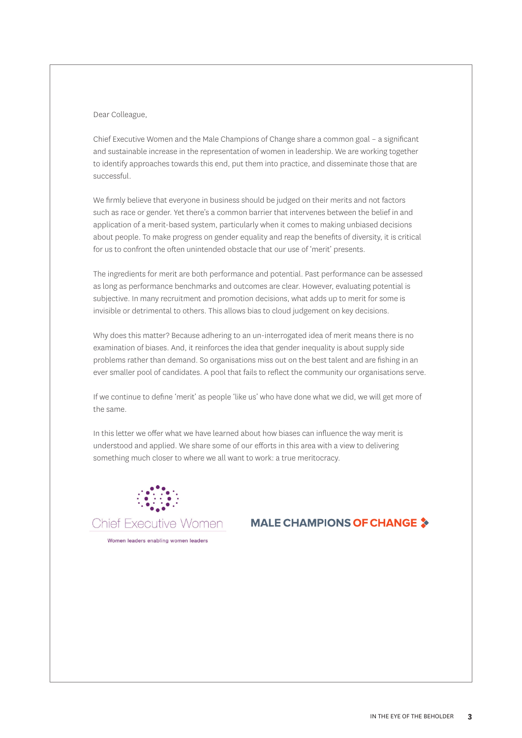# Dear Colleague,

Chief Executive Women and the Male Champions of Change share a common goal – a significant and sustainable increase in the representation of women in leadership. We are working together to identify approaches towards this end, put them into practice, and disseminate those that are successful.

We firmly believe that everyone in business should be judged on their merits and not factors such as race or gender. Yet there's a common barrier that intervenes between the belief in and application of a merit-based system, particularly when it comes to making unbiased decisions about people. To make progress on gender equality and reap the benefits of diversity, it is critical for us to confront the often unintended obstacle that our use of 'merit' presents.

The ingredients for merit are both performance and potential. Past performance can be assessed as long as performance benchmarks and outcomes are clear. However, evaluating potential is subjective. In many recruitment and promotion decisions, what adds up to merit for some is invisible or detrimental to others. This allows bias to cloud judgement on key decisions.

Why does this matter? Because adhering to an un-interrogated idea of merit means there is no examination of biases. And, it reinforces the idea that gender inequality is about supply side problems rather than demand. So organisations miss out on the best talent and are fishing in an ever smaller pool of candidates. A pool that fails to reflect the community our organisations serve.

If we continue to define 'merit' as people 'like us' who have done what we did, we will get more of the same.

In this letter we offer what we have learned about how biases can influence the way merit is understood and applied. We share some of our efforts in this area with a view to delivering something much closer to where we all want to work: a true meritocracy.



# **MALE CHAMPIONS OF CHANGE 3**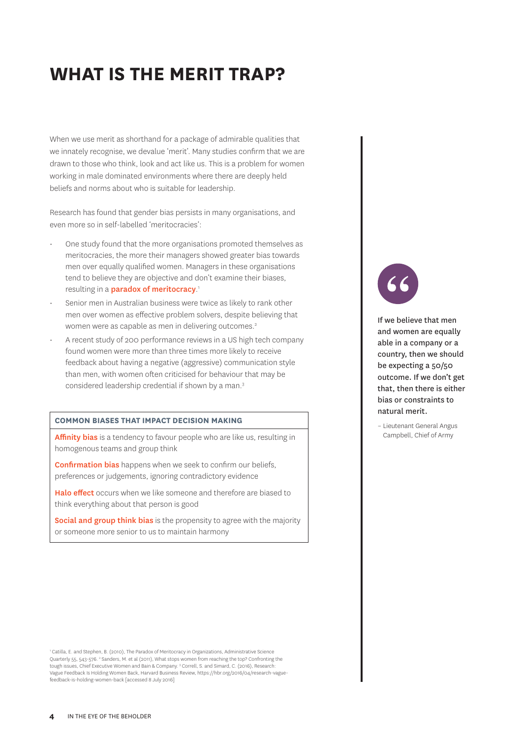# **WHAT IS THE MERIT TRAP?**

When we use merit as shorthand for a package of admirable qualities that we innately recognise, we devalue 'merit'. Many studies confirm that we are drawn to those who think, look and act like us. This is a problem for women working in male dominated environments where there are deeply held beliefs and norms about who is suitable for leadership.

Research has found that gender bias persists in many organisations, and even more so in self-labelled 'meritocracies':

- One study found that the more organisations promoted themselves as meritocracies, the more their managers showed greater bias towards men over equally qualified women. Managers in these organisations tend to believe they are objective and don't examine their biases, resulting in a **paradox of meritocracy**.<sup>1</sup>
- Senior men in Australian business were twice as likely to rank other men over women as effective problem solvers, despite believing that women were as capable as men in delivering outcomes.<sup>2</sup>
- A recent study of 200 performance reviews in a US high tech company found women were more than three times more likely to receive feedback about having a negative (aggressive) communication style than men, with women often criticised for behaviour that may be considered leadership credential if shown by a man.3

#### **COMMON BIASES THAT IMPACT DECISION MAKING**

Affinity bias is a tendency to favour people who are like us, resulting in homogenous teams and group think

**Confirmation bias** happens when we seek to confirm our beliefs, preferences or judgements, ignoring contradictory evidence

Halo effect occurs when we like someone and therefore are biased to think everything about that person is good

Social and group think bias is the propensity to agree with the majority or someone more senior to us to maintain harmony

1 Catilla, E. and Stephen, B. (2010), The Paradox of Meritocracy in Organizations, Administrative Science Quarterly 55, 543-576. <sup>2</sup> Sanders, M. et al (2011), What stops women from reaching the top? Confronting the tough issues, Chief Executive Women and Bain & Company. 3 Correll, S. and Simard, C. (2016), Research: Vague Feedback Is Holding Women Back, Harvard Business Review, https://hbr.org/2016/04/research-vaguefeedback-is-holding-women-back [accessed 8 July 2016]

If we believe that men and women are equally able in a company or a country, then we should be expecting a 50/50 outcome. If we don't get that, then there is either bias or constraints to natural merit.

– Lieutenant General Angus Campbell, Chief of Army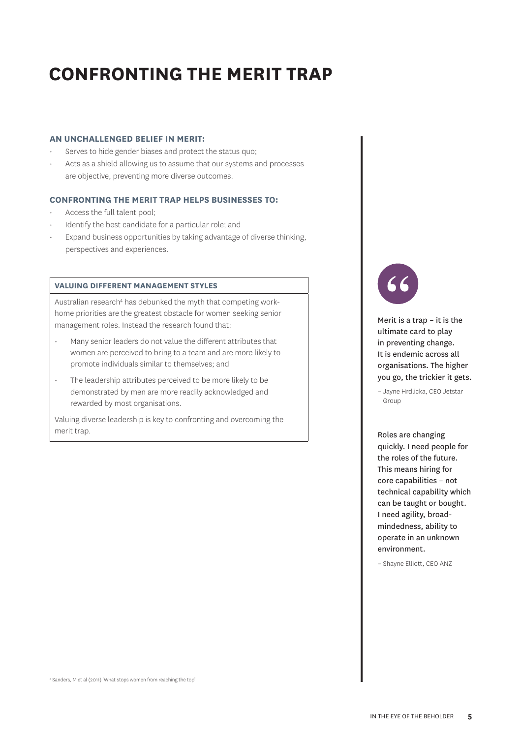# **CONFRONTING THE MERIT TRAP**

# **AN UNCHALLENGED BELIEF IN MERIT:**

- Serves to hide gender biases and protect the status quo;
- Acts as a shield allowing us to assume that our systems and processes are objective, preventing more diverse outcomes.

# **CONFRONTING THE MERIT TRAP HELPS BUSINESSES TO:**

- Access the full talent pool;
- Identify the best candidate for a particular role; and
- Expand business opportunities by taking advantage of diverse thinking, perspectives and experiences.

# **VALUING DIFFERENT MANAGEMENT STYLES**

Australian research<sup>4</sup> has debunked the myth that competing workhome priorities are the greatest obstacle for women seeking senior management roles. Instead the research found that:

- Many senior leaders do not value the different attributes that women are perceived to bring to a team and are more likely to promote individuals similar to themselves; and
- The leadership attributes perceived to be more likely to be demonstrated by men are more readily acknowledged and rewarded by most organisations.

Valuing diverse leadership is key to confronting and overcoming the merit trap.



Merit is a trap – it is the ultimate card to play in preventing change. It is endemic across all organisations. The higher you go, the trickier it gets.

– Jayne Hrdlicka, CEO Jetstar Group

Roles are changing quickly. I need people for the roles of the future. This means hiring for core capabilities – not technical capability which can be taught or bought. I need agility, broadmindedness, ability to operate in an unknown environment.

– Shayne Elliott, CEO ANZ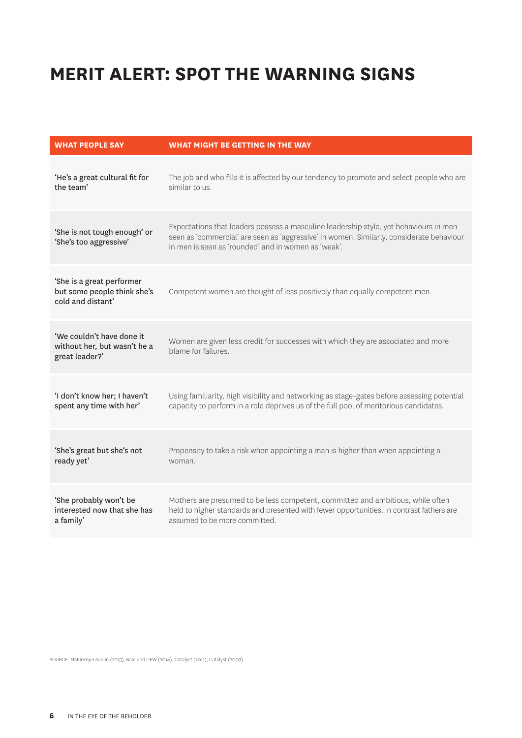# **MERIT ALERT: SPOT THE WARNING SIGNS**

| <b>WHAT PEOPLE SAY</b>                                                        | WHAT MIGHT BE GETTING IN THE WAY                                                                                                                                                                                                         |
|-------------------------------------------------------------------------------|------------------------------------------------------------------------------------------------------------------------------------------------------------------------------------------------------------------------------------------|
| 'He's a great cultural fit for                                                | The job and who fills it is affected by our tendency to promote and select people who are                                                                                                                                                |
| the team'                                                                     | similar to us.                                                                                                                                                                                                                           |
| 'She is not tough enough' or<br>'She's too aggressive'                        | Expectations that leaders possess a masculine leadership style, yet behaviours in men<br>seen as 'commercial' are seen as 'aggressive' in women. Similarly, considerate behaviour<br>in men is seen as 'rounded' and in women as 'weak'. |
| 'She is a great performer<br>but some people think she's<br>cold and distant' | Competent women are thought of less positively than equally competent men.                                                                                                                                                               |
| 'We couldn't have done it<br>without her, but wasn't he a<br>great leader?'   | Women are given less credit for successes with which they are associated and more<br>blame for failures.                                                                                                                                 |
| 'I don't know her; I haven't                                                  | Using familiarity, high visibility and networking as stage-gates before assessing potential                                                                                                                                              |
| spent any time with her'                                                      | capacity to perform in a role deprives us of the full pool of meritorious candidates.                                                                                                                                                    |
| 'She's great but she's not                                                    | Propensity to take a risk when appointing a man is higher than when appointing a                                                                                                                                                         |
| ready yet'                                                                    | woman.                                                                                                                                                                                                                                   |
| 'She probably won't be                                                        | Mothers are presumed to be less competent, committed and ambitious, while often                                                                                                                                                          |
| interested now that she has                                                   | held to higher standards and presented with fewer opportunities. In contrast fathers are                                                                                                                                                 |
| a family'                                                                     | assumed to be more committed.                                                                                                                                                                                                            |

SOURCE: McKinsey-Lean In (2015), Bain and CEW (2014), Catalyst (2011), Catalyst (2007)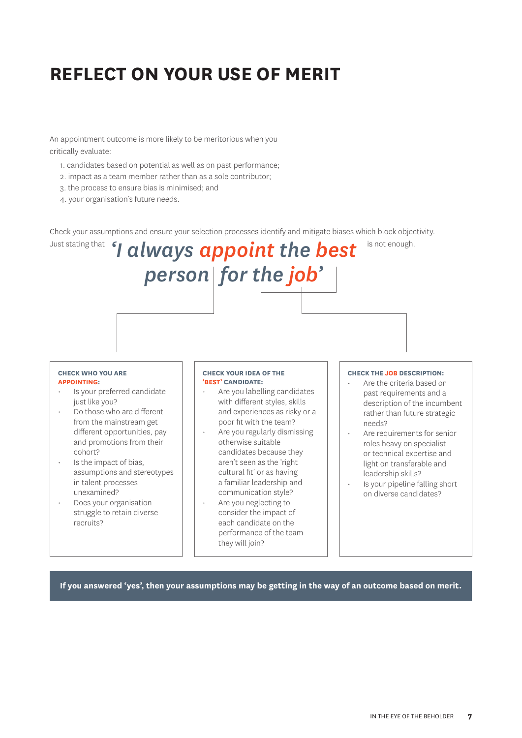# **REFLECT ON YOUR USE OF MERIT**

An appointment outcome is more likely to be meritorious when you critically evaluate:

- 1. candidates based on potential as well as on past performance;
- 2. impact as a team member rather than as a sole contributor;
- 3. the process to ensure bias is minimised; and
- 4. your organisation's future needs.

Check your assumptions and ensure your selection processes identify and mitigate biases which block objectivity.

#### Just stating that '*I always appoint the best* is not enough. *person for the job'* **CHECK THE JOB DESCRIPTION:** • Are the criteria based on past requirements and a description of the incumbent rather than future strategic needs? Are requirements for senior roles heavy on specialist or technical expertise and light on transferable and leadership skills? • Is your pipeline falling short on diverse candidates? **CHECK WHO YOU ARE APPOINTING:**  Is your preferred candidate just like you? • Do those who are different from the mainstream get different opportunities, pay and promotions from their cohort? Is the impact of bias, assumptions and stereotypes in talent processes unexamined? **CHECK YOUR IDEA OF THE 'BEST' CANDIDATE:** • Are you labelling candidates with different styles, skills and experiences as risky or a poor fit with the team? Are you regularly dismissing otherwise suitable candidates because they aren't seen as the 'right cultural fit' or as having a familiar leadership and communication style? • Are you neglecting to

• Does your organisation struggle to retain diverse recruits?

each candidate on the performance of the team they will join?

consider the impact of

**If you answered 'yes', then your assumptions may be getting in the way of an outcome based on merit.**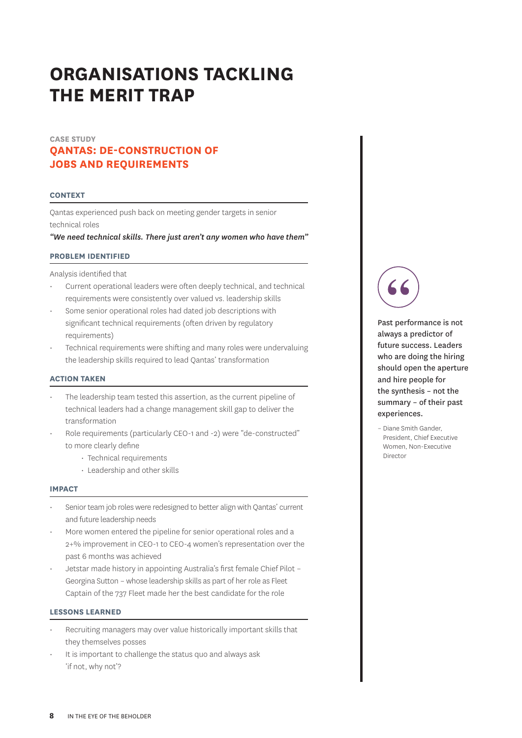# **QANTAS: DE-CONSTRUCTION OF JOBS AND REQUIREMENTS CASE STUDY**

### **CONTEXT**

Qantas experienced push back on meeting gender targets in senior technical roles

*"We need technical skills. There just aren't any women who have them"*

### **PROBLEM IDENTIFIED**

Analysis identified that

- Current operational leaders were often deeply technical, and technical requirements were consistently over valued vs. leadership skills
- Some senior operational roles had dated job descriptions with significant technical requirements (often driven by regulatory requirements)
- Technical requirements were shifting and many roles were undervaluing the leadership skills required to lead Qantas' transformation

### **ACTION TAKEN**

- The leadership team tested this assertion, as the current pipeline of technical leaders had a change management skill gap to deliver the transformation
- Role requirements (particularly CEO-1 and -2) were "de-constructed" to more clearly define
	- Technical requirements
	- Leadership and other skills

#### **IMPACT**

- Senior team job roles were redesigned to better align with Qantas' current and future leadership needs
- More women entered the pipeline for senior operational roles and a 2+% improvement in CEO-1 to CEO-4 women's representation over the past 6 months was achieved
- Jetstar made history in appointing Australia's first female Chief Pilot Georgina Sutton – whose leadership skills as part of her role as Fleet Captain of the 737 Fleet made her the best candidate for the role

# **LESSONS LEARNED**

- Recruiting managers may over value historically important skills that they themselves posses
- It is important to challenge the status quo and always ask 'if not, why not'?

Past performance is not always a predictor of future success. Leaders who are doing the hiring should open the aperture and hire people for the synthesis – not the summary – of their past experiences.

– Diane Smith Gander, President, Chief Executive Women, Non-Executive Director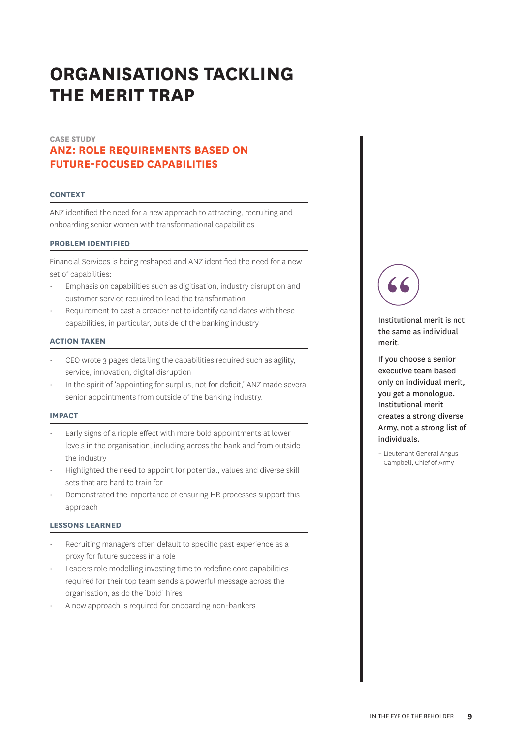# **ANZ: ROLE REQUIREMENTS BASED ON FUTURE-FOCUSED CAPABILITIES CASE STUDY**

### **CONTEXT**

ANZ identified the need for a new approach to attracting, recruiting and onboarding senior women with transformational capabilities

### **PROBLEM IDENTIFIED**

Financial Services is being reshaped and ANZ identified the need for a new set of capabilities:

- Emphasis on capabilities such as digitisation, industry disruption and customer service required to lead the transformation
- Requirement to cast a broader net to identify candidates with these capabilities, in particular, outside of the banking industry

# **ACTION TAKEN**

- CEO wrote 3 pages detailing the capabilities required such as agility, service, innovation, digital disruption
- In the spirit of 'appointing for surplus, not for deficit,' ANZ made several senior appointments from outside of the banking industry.

### **IMPACT**

- Early signs of a ripple effect with more bold appointments at lower levels in the organisation, including across the bank and from outside the industry
- Highlighted the need to appoint for potential, values and diverse skill sets that are hard to train for
- Demonstrated the importance of ensuring HR processes support this approach

# **LESSONS LEARNED**

- Recruiting managers often default to specific past experience as a proxy for future success in a role
- Leaders role modelling investing time to redefine core capabilities required for their top team sends a powerful message across the organisation, as do the 'bold' hires
- A new approach is required for onboarding non-bankers



Institutional merit is not the same as individual merit.

If you choose a senior executive team based only on individual merit, you get a monologue. Institutional merit creates a strong diverse Army, not a strong list of individuals.

– Lieutenant General Angus Campbell, Chief of Army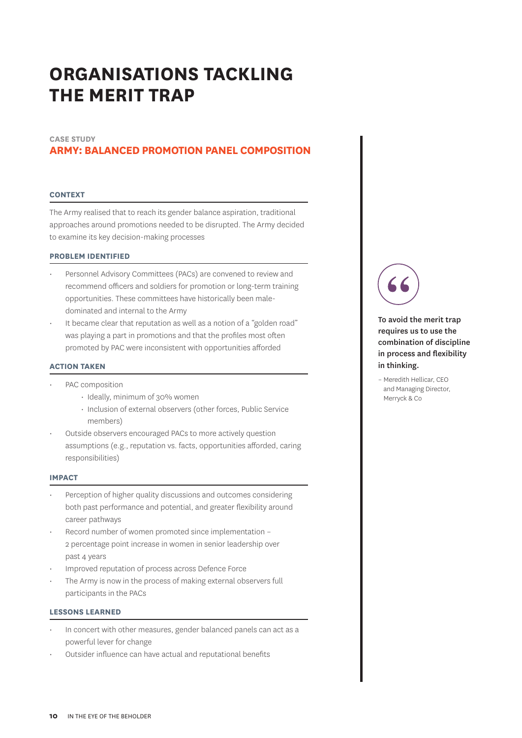# **CASE STUDY**

# **ARMY: BALANCED PROMOTION PANEL COMPOSITION**

#### **CONTEXT**

The Army realised that to reach its gender balance aspiration, traditional approaches around promotions needed to be disrupted. The Army decided to examine its key decision-making processes

### **PROBLEM IDENTIFIED**

- Personnel Advisory Committees (PACs) are convened to review and recommend officers and soldiers for promotion or long-term training opportunities. These committees have historically been maledominated and internal to the Army
- It became clear that reputation as well as a notion of a "golden road" was playing a part in promotions and that the profiles most often promoted by PAC were inconsistent with opportunities afforded

#### **ACTION TAKEN**

- PAC composition
	- Ideally, minimum of 30% women
	- Inclusion of external observers (other forces, Public Service members)
- Outside observers encouraged PACs to more actively question assumptions (e.g., reputation vs. facts, opportunities afforded, caring responsibilities)

### **IMPACT**

- Perception of higher quality discussions and outcomes considering both past performance and potential, and greater flexibility around career pathways
- Record number of women promoted since implementation 2 percentage point increase in women in senior leadership over past 4 years
- Improved reputation of process across Defence Force
- The Army is now in the process of making external observers full participants in the PACs

### **LESSONS LEARNED**

- In concert with other measures, gender balanced panels can act as a powerful lever for change
- Outsider influence can have actual and reputational benefits



To avoid the merit trap requires us to use the combination of discipline in process and flexibility in thinking.

– Meredith Hellicar, CEO and Managing Director, Merryck & Co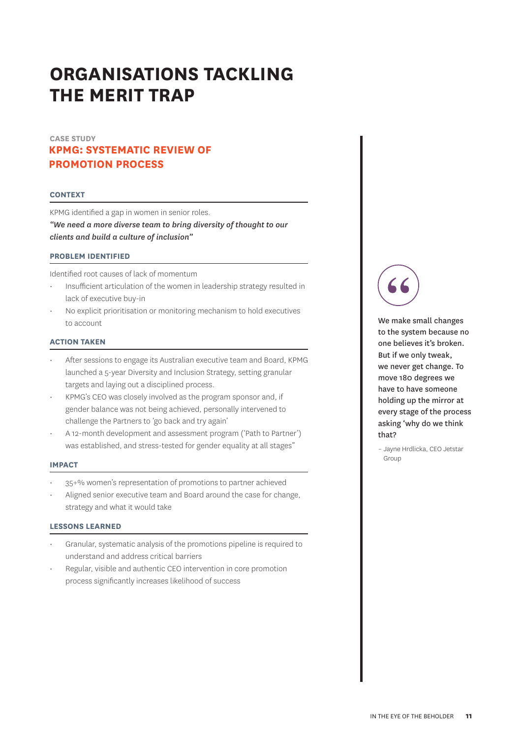# **KPMG: SYSTEMATIC REVIEW OF PROMOTION PROCESS CASE STUDY**

### **CONTEXT**

KPMG identified a gap in women in senior roles. *"We need a more diverse team to bring diversity of thought to our clients and build a culture of inclusion"*

# **PROBLEM IDENTIFIED**

Identified root causes of lack of momentum

- Insufficient articulation of the women in leadership strategy resulted in lack of executive buy-in
- No explicit prioritisation or monitoring mechanism to hold executives to account

# **ACTION TAKEN**

- After sessions to engage its Australian executive team and Board, KPMG launched a 5-year Diversity and Inclusion Strategy, setting granular targets and laying out a disciplined process.
- KPMG's CEO was closely involved as the program sponsor and, if gender balance was not being achieved, personally intervened to challenge the Partners to 'go back and try again'
- A 12-month development and assessment program ('Path to Partner') was established, and stress-tested for gender equality at all stages"

#### **IMPACT**

- 35+% women's representation of promotions to partner achieved
- Aligned senior executive team and Board around the case for change, strategy and what it would take

### **LESSONS LEARNED**

- Granular, systematic analysis of the promotions pipeline is required to understand and address critical barriers
- Regular, visible and authentic CEO intervention in core promotion process significantly increases likelihood of success



We make small changes to the system because no one believes it's broken. But if we only tweak, we never get change. To move 180 degrees we have to have someone holding up the mirror at every stage of the process asking 'why do we think that?

– Jayne Hrdlicka, CEO Jetstar Group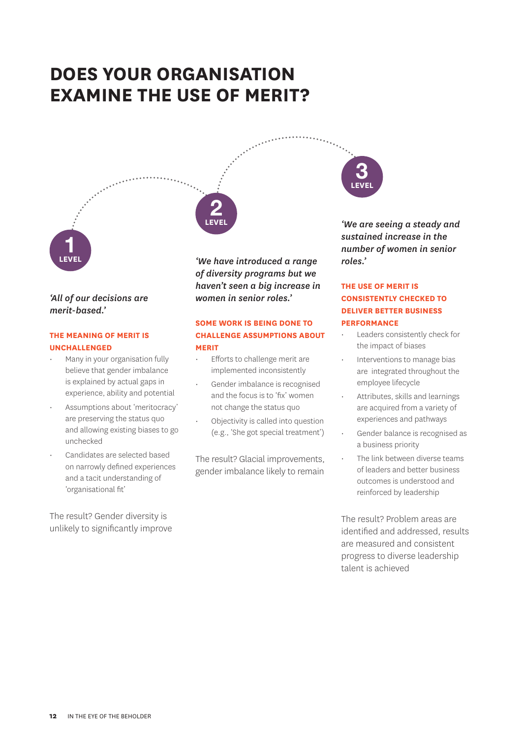# **DOES YOUR ORGANISATION EXAMINE THE USE OF MERIT?**



# *'All of our decisions are merit-based.'*

# **THE MEANING OF MERIT IS UNCHALLENGED**

- Many in your organisation fully believe that gender imbalance is explained by actual gaps in experience, ability and potential
- Assumptions about 'meritocracy' are preserving the status quo and allowing existing biases to go unchecked
- Candidates are selected based on narrowly defined experiences and a tacit understanding of 'organisational fit'

The result? Gender diversity is unlikely to significantly improve

*'We have introduced a range of diversity programs but we haven't seen a big increase in women in senior roles.'*

**LEVEL 2**

# **SOME WORK IS BEING DONE TO CHALLENGE ASSUMPTIONS ABOUT MERIT**

- Efforts to challenge merit are implemented inconsistently
- Gender imbalance is recognised and the focus is to 'fix' women not change the status quo
- Objectivity is called into question (e.g., 'She got special treatment')

The result? Glacial improvements, gender imbalance likely to remain

*'We are seeing a steady and sustained increase in the number of women in senior roles.'*

**LEVEL 3**

# **THE USE OF MERIT IS CONSISTENTLY CHECKED TO DELIVER BETTER BUSINESS PERFORMANCE**

- Leaders consistently check for the impact of biases
- Interventions to manage bias are integrated throughout the employee lifecycle
- Attributes, skills and learnings are acquired from a variety of experiences and pathways
- Gender balance is recognised as a business priority
- The link between diverse teams of leaders and better business outcomes is understood and reinforced by leadership

The result? Problem areas are identified and addressed, results are measured and consistent progress to diverse leadership talent is achieved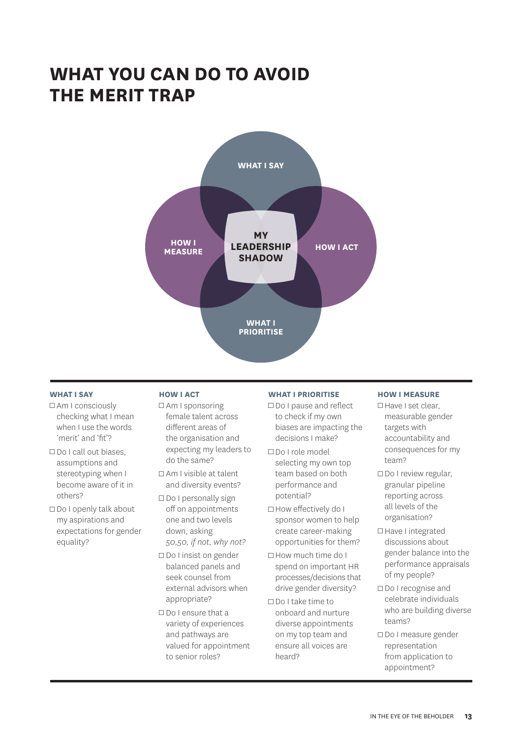# **WHAT YOU CAN DO TO AVOID THE MERIT TRAP**



# **WHAT I SAY**

- Am I consciously checking what I mean when I use the words 'merit' and 'fit'?
- □ Do I call out biases, assumptions and stereotyping when I become aware of it in others?
- $\Box$  Do I openly talk about my aspirations and expectations for gender equality?

# **HOW I ACT**

- Am I sponsoring female talent across different areas of the organisation and expecting my leaders to do the same?
- $\Box$  Am I visible at talent and diversity events?
- $\Box$  Do I personally sign off on appointments one and two levels down, asking *50,50, if not, why not?*
- □ Do I insist on gender balanced panels and seek counsel from external advisors when appropriate?
- Do I ensure that a variety of experiences and pathways are valued for appointment to senior roles?

# **WHAT I PRIORITISE**

- □ Do I pause and reflect to check if my own biases are impacting the decisions I make?
- Do I role model selecting my own top team based on both performance and potential?
- □ How effectively do I sponsor women to help create career-making opportunities for them?
- How much time do I spend on important HR processes/decisions that drive gender diversity?
- Do I take time to onboard and nurture diverse appointments on my top team and ensure all voices are heard?

### **HOW I MEASURE**

- □ Have I set clear, measurable gender targets with accountability and consequences for my team?
- $\Box$  Do I review regular, granular pipeline reporting across all levels of the organisation?
- □ Have I integrated discussions about gender balance into the performance appraisals of my people?
- □ Do I recognise and celebrate individuals who are building diverse teams?
- Do I measure gender representation from application to appointment?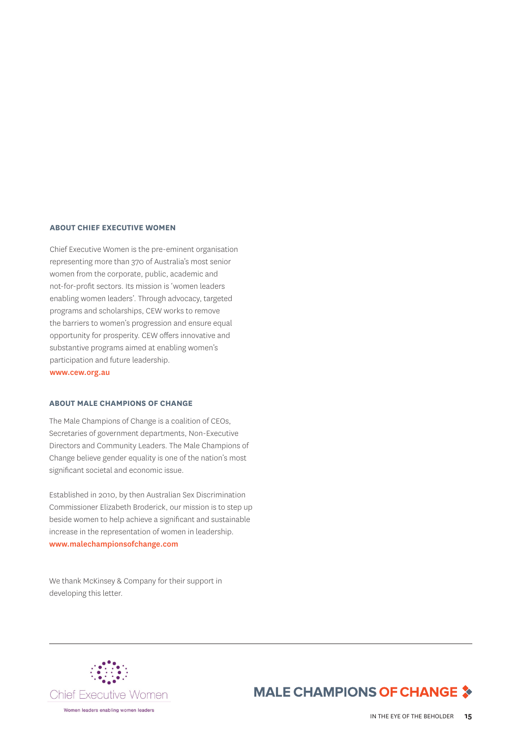# **ABOUT CHIEF EXECUTIVE WOMEN**

Chief Executive Women is the pre-eminent organisation representing more than 370 of Australia's most senior women from the corporate, public, academic and not-for-profit sectors. Its mission is 'women leaders enabling women leaders'. Through advocacy, targeted programs and scholarships, CEW works to remove the barriers to women's progression and ensure equal opportunity for prosperity. CEW offers innovative and substantive programs aimed at enabling women's participation and future leadership. www.cew.org.au

### **ABOUT MALE CHAMPIONS OF CHANGE**

The Male Champions of Change is a coalition of CEOs, Secretaries of government departments, Non-Executive Directors and Community Leaders. The Male Champions of Change believe gender equality is one of the nation's most significant societal and economic issue.

Established in 2010, by then Australian Sex Discrimination Commissioner Elizabeth Broderick, our mission is to step up beside women to help achieve a significant and sustainable increase in the representation of women in leadership. www.malechampionsofchange.com

We thank McKinsey & Company for their support in developing this letter.



# **MALE CHAMPIONS OF CHANGE 3**